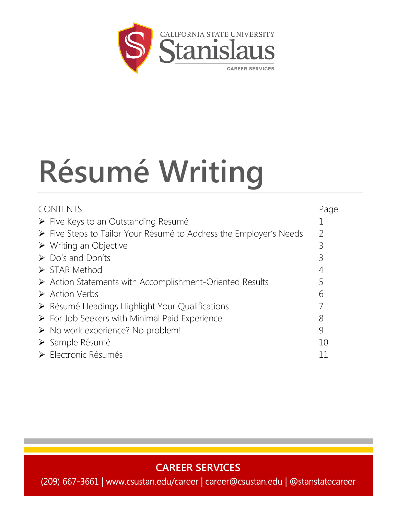

# **Résumé Writing**

| <b>CONTENTS</b>                                                         | Page |
|-------------------------------------------------------------------------|------|
| > Five Keys to an Outstanding Résumé                                    |      |
| ► Five Steps to Tailor Your Résumé to Address the Employer's Needs      |      |
| $\triangleright$ Writing an Objective                                   | 3    |
| $\triangleright$ Do's and Don'ts                                        | 3    |
| $\triangleright$ STAR Method                                            | 4    |
| $\triangleright$ Action Statements with Accomplishment-Oriented Results |      |
| $\triangleright$ Action Verbs                                           | 6    |
| > Résumé Headings Highlight Your Qualifications                         |      |
| $\triangleright$ For Job Seekers with Minimal Paid Experience           | 8    |
| $\triangleright$ No work experience? No problem!                        | 9    |
| > Sample Résumé                                                         | 10   |
| ▶ Electronic Résumés                                                    | 11   |
|                                                                         |      |

**CAREER SERVICES**

(209) 667-3661 | www.csustan.edu/career | career@csustan.edu | @stanstatecareer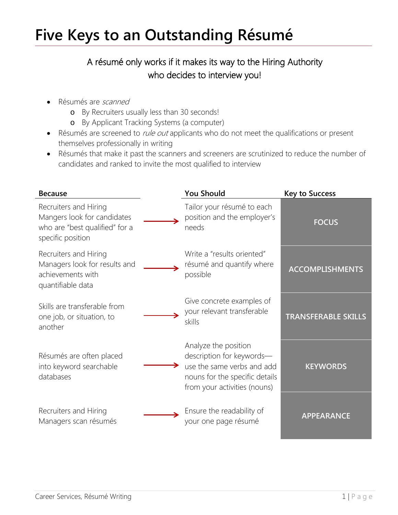### **Five Keys to an Outstanding Résumé**

### A résumé only works if it makes its way to the Hiring Authority who decides to interview you!

- Résumés are *scanned* 
	- o By Recruiters usually less than 30 seconds!
	- o By Applicant Tracking Systems (a computer)
- Résumés are screened to *rule out* applicants who do not meet the qualifications or present themselves professionally in writing
- Résumés that make it past the scanners and screeners are scrutinized to reduce the number of candidates and ranked to invite the most qualified to interview

| <b>Because</b>                                                                                              | <b>You Should</b>                                                                                                                                 | <b>Key to Success</b>      |
|-------------------------------------------------------------------------------------------------------------|---------------------------------------------------------------------------------------------------------------------------------------------------|----------------------------|
| Recruiters and Hiring<br>Mangers look for candidates<br>who are "best qualified" for a<br>specific position | Tailor your résumé to each<br>position and the employer's<br>needs                                                                                | <b>FOCUS</b>               |
| Recruiters and Hiring<br>Managers look for results and<br>achievements with<br>quantifiable data            | Write a "results oriented"<br>résumé and quantify where<br>possible                                                                               | <b>ACCOMPLISHMENTS</b>     |
| Skills are transferable from<br>one job, or situation, to<br>another                                        | Give concrete examples of<br>your relevant transferable<br>skills                                                                                 | <b>TRANSFERABLE SKILLS</b> |
| Résumés are often placed<br>into keyword searchable<br>databases                                            | Analyze the position<br>description for keywords-<br>use the same verbs and add<br>nouns for the specific details<br>from your activities (nouns) | <b>KEYWORDS</b>            |
| Recruiters and Hiring<br>Managers scan résumés                                                              | Ensure the readability of<br>your one page résumé                                                                                                 | <b>APPEARANCE</b>          |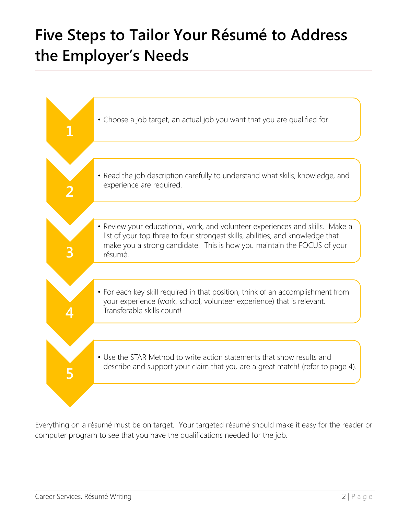### **Five Steps to Tailor Your Résumé to Address the Employer's Needs**



Everything on a résumé must be on target. Your targeted résumé should make it easy for the reader or computer program to see that you have the qualifications needed for the job.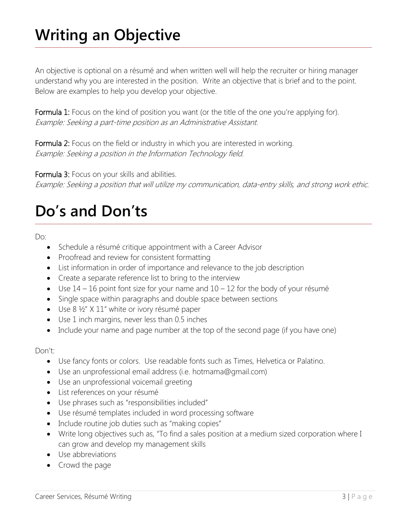### **Writing an Objective**

An objective is optional on a résumé and when written well will help the recruiter or hiring manager understand why you are interested in the position. Write an objective that is brief and to the point. Below are examples to help you develop your objective.

Formula 1: Focus on the kind of position you want (or the title of the one you're applying for). Example: Seeking a part-time position as an Administrative Assistant.

Formula 2: Focus on the field or industry in which you are interested in working. Example: Seeking a position in the Information Technology field.

Formula 3: Focus on your skills and abilities.

Example: Seeking a position that will utilize my communication, data-entry skills, and strong work ethic.

### **Do's and Don'ts**

Do:

- Schedule a résumé critique appointment with a Career Advisor
- Proofread and review for consistent formatting
- List information in order of importance and relevance to the job description
- Create a separate reference list to bring to the interview
- Use  $14 16$  point font size for your name and  $10 12$  for the body of your résumé
- Single space within paragraphs and double space between sections
- Use 8 ½" X 11" white or ivory résumé paper
- Use 1 inch margins, never less than 0.5 inches
- Include your name and page number at the top of the second page (if you have one)

#### Don't:

- Use fancy fonts or colors. Use readable fonts such as Times, Helvetica or Palatino.
- Use an unprofessional email address (i.e. hotmama@gmail.com)
- Use an unprofessional voicemail greeting
- List references on your résumé
- Use phrases such as "responsibilities included"
- Use résumé templates included in word processing software
- Include routine job duties such as "making copies"
- Write long objectives such as, "To find a sales position at a medium sized corporation where I can grow and develop my management skills
- Use abbreviations
- Crowd the page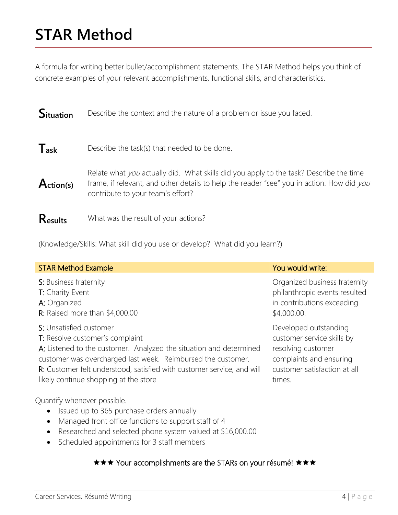### **STAR Method**

A formula for writing better bullet/accomplishment statements. The STAR Method helps you think of concrete examples of your relevant accomplishments, functional skills, and characteristics.

| <b>Situation</b> | Describe the context and the nature of a problem or issue you faced.                                                                                                                                                     |
|------------------|--------------------------------------------------------------------------------------------------------------------------------------------------------------------------------------------------------------------------|
| $T_{ask}$        | Describe the task(s) that needed to be done.                                                                                                                                                                             |
| Action(s)        | Relate what you actually did. What skills did you apply to the task? Describe the time<br>frame, if relevant, and other details to help the reader "see" you in action. How did you<br>contribute to your team's effort? |
| Results          | What was the result of your actions?                                                                                                                                                                                     |

(Knowledge/Skills: What skill did you use or develop? What did you learn?)

| <b>STAR Method Example</b>                                                                                                       | You would write:              |
|----------------------------------------------------------------------------------------------------------------------------------|-------------------------------|
| S: Business fraternity                                                                                                           | Organized business fraternity |
| T: Charity Event                                                                                                                 | philanthropic events resulted |
| A: Organized                                                                                                                     | in contributions exceeding    |
| R: Raised more than $$4,000.00$                                                                                                  | \$4,000.00.                   |
| S: Unsatisfied customer                                                                                                          | Developed outstanding         |
| T: Resolve customer's complaint                                                                                                  | customer service skills by    |
| A: Listened to the customer. Analyzed the situation and determined                                                               | resolving customer            |
| customer was overcharged last week. Reimbursed the customer.                                                                     | complaints and ensuring       |
| R: Customer felt understood, satisfied with customer service, and will                                                           | customer satisfaction at all  |
| likely continue shopping at the store                                                                                            | times.                        |
| Quantify whenever possible.<br>Issued up to 365 purchase orders annually<br>Managed front office functions to support staff of 4 |                               |

- Researched and selected phone system valued at \$16,000.00
- Scheduled appointments for 3 staff members

### **★★★ Your accomplishments are the STARs on your résumé! ★★★**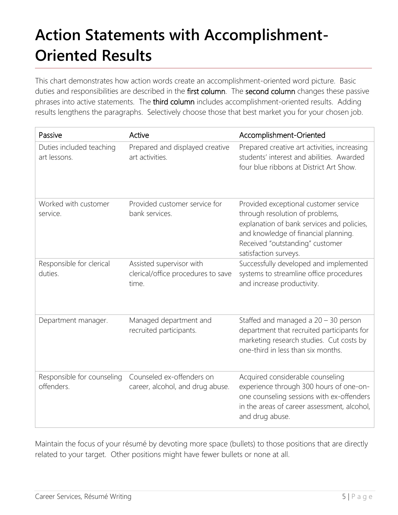## **Action Statements with Accomplishment-Oriented Results**

This chart demonstrates how action words create an accomplishment-oriented word picture. Basic duties and responsibilities are described in the first column. The second column changes these passive phrases into active statements. The third column includes accomplishment-oriented results. Adding results lengthens the paragraphs. Selectively choose those that best market you for your chosen job.

| Passive                                  | Active                                                                  | Accomplishment-Oriented                                                                                                                                                                                                    |
|------------------------------------------|-------------------------------------------------------------------------|----------------------------------------------------------------------------------------------------------------------------------------------------------------------------------------------------------------------------|
| Duties included teaching<br>art lessons. | Prepared and displayed creative<br>art activities.                      | Prepared creative art activities, increasing<br>students' interest and abilities. Awarded<br>four blue ribbons at District Art Show.                                                                                       |
| Worked with customer<br>service.         | Provided customer service for<br>bank services.                         | Provided exceptional customer service<br>through resolution of problems,<br>explanation of bank services and policies,<br>and knowledge of financial planning.<br>Received "outstanding" customer<br>satisfaction surveys. |
| Responsible for clerical<br>duties.      | Assisted supervisor with<br>clerical/office procedures to save<br>time. | Successfully developed and implemented<br>systems to streamline office procedures<br>and increase productivity.                                                                                                            |
| Department manager.                      | Managed department and<br>recruited participants.                       | Staffed and managed a $20 - 30$ person<br>department that recruited participants for<br>marketing research studies. Cut costs by<br>one-third in less than six months.                                                     |
| Responsible for counseling<br>offenders. | Counseled ex-offenders on<br>career, alcohol, and drug abuse.           | Acquired considerable counseling<br>experience through 300 hours of one-on-<br>one counseling sessions with ex-offenders<br>in the areas of career assessment, alcohol,<br>and drug abuse.                                 |

Maintain the focus of your résumé by devoting more space (bullets) to those positions that are directly related to your target. Other positions might have fewer bullets or none at all.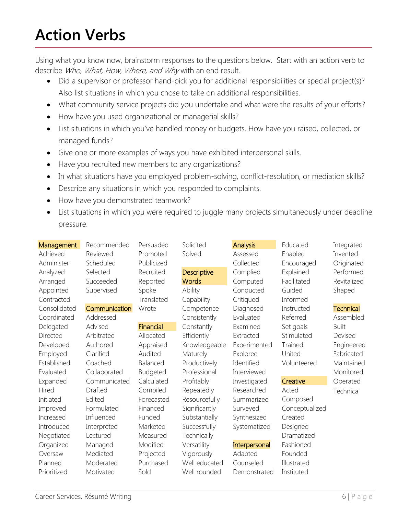### **Action Verbs**

Using what you know now, brainstorm responses to the questions below. Start with an action verb to describe Who, What, How, Where, and Why with an end result.

- Did a supervisor or professor hand-pick you for additional responsibilities or special project(s)? Also list situations in which you chose to take on additional responsibilities.
- What community service projects did you undertake and what were the results of your efforts?
- How have you used organizational or managerial skills?
- List situations in which you've handled money or budgets. How have you raised, collected, or managed funds?
- Give one or more examples of ways you have exhibited interpersonal skills.
- Have you recruited new members to any organizations?
- In what situations have you employed problem-solving, conflict-resolution, or mediation skills?
- Describe any situations in which you responded to complaints.
- How have you demonstrated teamwork?
- List situations in which you were required to juggle many projects simultaneously under deadline pressure.

| Management   | Recommended   | Persuaded       | Solicited          | <b>Analysis</b> | Educated       | Integrated       |
|--------------|---------------|-----------------|--------------------|-----------------|----------------|------------------|
| Achieved     | Reviewed      | Promoted        | Solved             | Assessed        | Enabled        | Invented         |
| Administer   | Scheduled     | Publicized      |                    | Collected       | Encouraged     | Originated       |
| Analyzed     | Selected      | Recruited       | <b>Descriptive</b> | Complied        | Explained      | Performed        |
| Arranged     | Succeeded     | Reported        | <b>Words</b>       | Computed        | Facilitated    | Revitalized      |
| Appointed    | Supervised    | Spoke           | Ability            | Conducted       | Guided         | Shaped           |
| Contracted   |               | Translated      | Capability         | Critiqued       | Informed       |                  |
| Consolidated | Communication | Wrote           | Competence         | Diagnosed       | Instructed     | <b>Technical</b> |
| Coordinated  | Addressed     |                 | Consistently       | Evaluated       | Referred       | Assembled        |
| Delegated    | Advised       | Financial       | Constantly         | Examined        | Set goals      | <b>Built</b>     |
| Directed     | Arbitrated    | Allocated       | Efficiently        | Extracted       | Stimulated     | Devised          |
| Developed    | Authored      | Appraised       | Knowledgeable      | Experimented    | Trained        | Engineered       |
| Employed     | Clarified     | Audited         | <b>Maturely</b>    | Explored        | United         | Fabricated       |
| Established  | Coached       | Balanced        | Productively       | Identified      | Volunteered    | Maintained       |
| Evaluated    | Collaborated  | <b>Budgeted</b> | Professional       | Interviewed     |                | Monitored        |
| Expanded     | Communicated  | Calculated      | Profitably         | Investigated    | Creative       | Operated         |
| Hired        | Drafted       | Compiled        | Repeatedly         | Researched      | Acted          | Technical        |
| Initiated    | Edited        | Forecasted      | Resourcefully      | Summarized      | Composed       |                  |
| Improved     | Formulated    | Financed        | Significantly      | Surveyed        | Conceptualized |                  |
| Increased    | Influenced    | Funded          | Substantially      | Synthesized     | Created        |                  |
| Introduced   | Interpreted   | Marketed        | Successfully       | Systematized    | Designed       |                  |
| Negotiated   | Lectured      | Measured        | Technically        |                 | Dramatized     |                  |
| Organized    | Managed       | Modified        | Versatility        | Interpersonal   | Fashioned      |                  |
| Oversaw      | Mediated      | Projected       | Vigorously         | Adapted         | Founded        |                  |
| Planned      | Moderated     | Purchased       | Well educated      | Counseled       | Illustrated    |                  |
| Prioritized  | Motivated     | Sold            | Well rounded       | Demonstrated    | Instituted     |                  |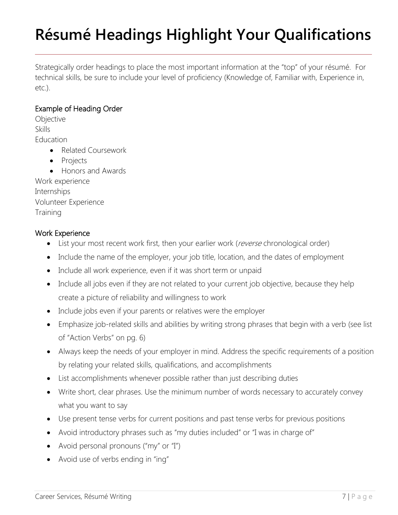## **Résumé Headings Highlight Your Qualifications**

Strategically order headings to place the most important information at the "top" of your résumé. For technical skills, be sure to include your level of proficiency (Knowledge of, Familiar with, Experience in, etc.).

### Example of Heading Order

**Objective** Skills Education • Related Coursework

- Projects
- Honors and Awards

Work experience Internships Volunteer Experience **Training** 

### Work Experience

- List your most recent work first, then your earlier work (reverse chronological order)
- Include the name of the employer, your job title, location, and the dates of employment
- Include all work experience, even if it was short term or unpaid
- Include all jobs even if they are not related to your current job objective, because they help create a picture of reliability and willingness to work
- Include jobs even if your parents or relatives were the employer
- Emphasize job-related skills and abilities by writing strong phrases that begin with a verb (see list of "Action Verbs" on pg. 6)
- Always keep the needs of your employer in mind. Address the specific requirements of a position by relating your related skills, qualifications, and accomplishments
- List accomplishments whenever possible rather than just describing duties
- Write short, clear phrases. Use the minimum number of words necessary to accurately convey what you want to say
- Use present tense verbs for current positions and past tense verbs for previous positions
- Avoid introductory phrases such as "my duties included" or "I was in charge of"
- Avoid personal pronouns ("my" or "I")
- Avoid use of verbs ending in "ing"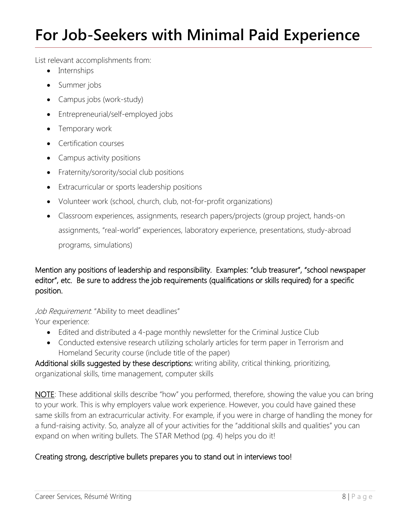### **For Job-Seekers with Minimal Paid Experience**

List relevant accomplishments from:

- Internships
- Summer jobs
- Campus jobs (work-study)
- Entrepreneurial/self-employed jobs
- Temporary work
- **Certification courses**
- Campus activity positions
- Fraternity/sorority/social club positions
- Extracurricular or sports leadership positions
- Volunteer work (school, church, club, not-for-profit organizations)
- Classroom experiences, assignments, research papers/projects (group project, hands-on assignments, "real-world" experiences, laboratory experience, presentations, study-abroad programs, simulations)

Mention any positions of leadership and responsibility. Examples: "club treasurer", "school newspaper editor", etc. Be sure to address the job requirements (qualifications or skills required) for a specific position.

Job Requirement. "Ability to meet deadlines" Your experience:

- Edited and distributed a 4-page monthly newsletter for the Criminal Justice Club
- Conducted extensive research utilizing scholarly articles for term paper in Terrorism and Homeland Security course (include title of the paper)

Additional skills suggested by these descriptions: writing ability, critical thinking, prioritizing, organizational skills, time management, computer skills

NOTE: These additional skills describe "how" you performed, therefore, showing the value you can bring to your work. This is why employers value work experience. However, you could have gained these same skills from an extracurricular activity. For example, if you were in charge of handling the money for a fund-raising activity. So, analyze all of your activities for the "additional skills and qualities" you can expand on when writing bullets. The STAR Method (pg. 4) helps you do it!

### Creating strong, descriptive bullets prepares you to stand out in interviews too!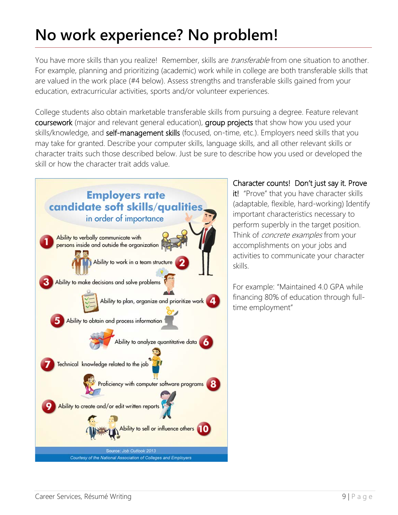### **No work experience? No problem!**

You have more skills than you realize! Remember, skills are *transferable* from one situation to another. For example, planning and prioritizing (academic) work while in college are both transferable skills that are valued in the work place (#4 below). Assess strengths and transferable skills gained from your education, extracurricular activities, sports and/or volunteer experiences.

College students also obtain marketable transferable skills from pursuing a degree. Feature relevant coursework (major and relevant general education), group projects that show how you used your skills/knowledge, and self-management skills (focused, on-time, etc.). Employers need skills that you may take for granted. Describe your computer skills, language skills, and all other relevant skills or character traits such those described below. Just be sure to describe how you used or developed the skill or how the character trait adds value.



Character counts! Don't just say it. Prove it! "Prove" that you have character skills

(adaptable, flexible, hard-working) Identify important characteristics necessary to perform superbly in the target position. Think of *concrete examples* from your accomplishments on your jobs and activities to communicate your character skills.

For example: "Maintained 4.0 GPA while financing 80% of education through fulltime employment"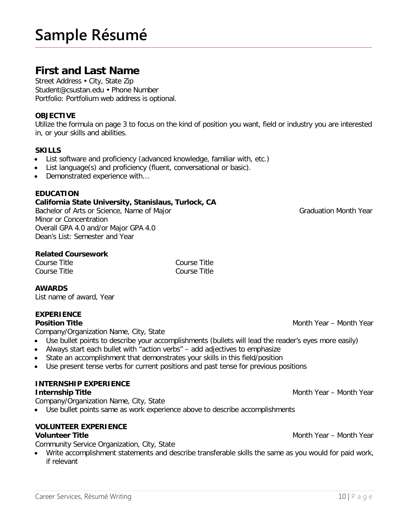### **Sample Résumé**

### **First and Last Name**

Street Address • City, State Zip Student@csustan.edu • Phone Number Portfolio: Portfolium web address is optional.

#### **OBJECTIVE**

Utilize the formula on page 3 to focus on the kind of position you want, field or industry you are interested in, or your skills and abilities.

#### **SKILLS**

- List software and proficiency (advanced knowledge, familiar with, etc.)
- List language(s) and proficiency (fluent, conversational or basic).
- Demonstrated experience with...

#### **EDUCATION**

#### **California State University, Stanislaus, Turlock, CA**

Bachelor of Arts or Science, Name of Major Graduation Month Year Minor or Concentration Overall GPA 4.0 and/or Major GPA 4.0 Dean's List: Semester and Year

#### **Related Coursework**

Course Title Course Title Course Title Course Title

#### **AWARDS**

List name of award, Year

#### **EXPERIENCE**

Company/Organization Name, City, State

- Use bullet points to describe your accomplishments (bullets will lead the reader's eyes more easily)
- Always start each bullet with "action verbs" add adjectives to emphasize
- State an accomplishment that demonstrates your skills in this field/position
- Use present tense verbs for current positions and past tense for previous positions

### **INTERNSHIP EXPERIENCE**

#### **Internship Title Month Year – Month Year – Month Year – Month Year – Month Year – Month Year – Month Year – Month Year – Month Year – Month Year – Month Year – Month Year – Month Year – Month Year – Month Year – Month Y**

Company/Organization Name, City, State

• Use bullet points same as work experience above to describe accomplishments

#### **VOLUNTEER EXPERIENCE Volunteer Title** Month Year – Month Year – Month Year – Month Year – Month Year – Month Year – Month Year – Month Year – Month Year – Month Year – Month Year – Month Year – Month Year – Month Year – Month Year – Month Yea

Community Service Organization, City, State

• Write accomplishment statements and describe transferable skills the same as you would for paid work, if relevant

**Position Title** Month Year – Month Year – Month Year – Month Year – Month Year – Month Year – Month Year – Month Year